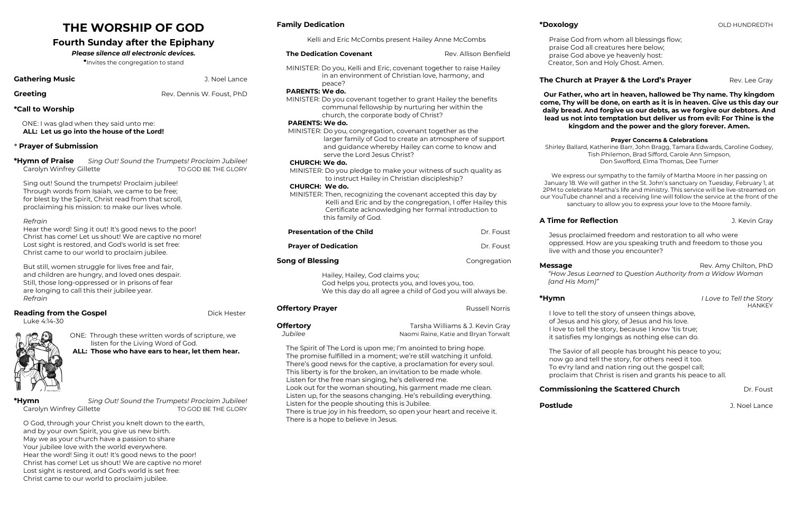# **THE WORSHIP OF GOD**

# **Fourth Sunday after the Epiphany**

### *Please silence all electronic devices.*

\*Invites the congregation to stand

### **Gathering Music Gathering Music J. Noel Lance**

**Greeting Creeting Rev. Dennis W. Foust, PhD** 

### **\*Call to Worship**

 ONE: I was glad when they said unto me:  **ALL: Let us go into the house of the Lord!**

### \* **Prayer of Submission**

| *Hymn of Praise          | Sing Out! Sound the Trumpets! Proclaim Jubilee! |
|--------------------------|-------------------------------------------------|
| Carolyn Winfrey Gillette | TO GOD BE THE GLORY                             |

Sing out! Sound the trumpets! Proclaim jubilee! Through words from Isaiah, we came to be free; for blest by the Spirit, Christ read from that scroll, proclaiming his mission: to make our lives whole.

**\*Hymn** *Sing Out! Sound the Trumpets! Proclaim Jubilee!* Carolyn Winfrey Gillette TO GOD BE THE GLORY

### *Refrain*

Hear the word! Sing it out! It's good news to the poor! Christ has come! Let us shout! We are captive no more! Lost sight is restored, and God's world is set free: Christ came to our world to proclaim jubilee.

But still, women struggle for lives free and fair, and children are hungry, and loved ones despair. Still, those long-oppressed or in prisons of fear are longing to call this their jubilee year. *Refrain*

### **Reading from the Gospel <b>Dick Hester Dick Hester**

Luke 4:14-30



ONE: Through these written words of scripture, we listen for the Living Word of God.  **ALL: Those who have ears to hear, let them hear.** 

O God, through your Christ you knelt down to the earth, and by your own Spirit, you give us new birth. May we as your church have a passion to share Your jubilee love with the world everywhere. Hear the word! Sing it out! It's good news to the poor! Christ has come! Let us shout! We are captive no more! Lost sight is restored, and God's world is set free: Christ came to our world to proclaim jubilee.

### **Family Dedication**

Kelli and Eric McCombs present Hailey Anne McCombs

### **The Dedication Covenant Rev. Allison Benfield**

MINISTER: Do you, Kelli and Eric, covenant together to raise Hailey in an environment of Christian love, harmony, and peace?

### **PARENTS: We do.**

MINISTER: Do you covenant together to grant Hailey the benefits communal fellowship by nurturing her within the church, the corporate body of Christ?

### **PARENTS: We do.**

MINISTER: Do you, congregation, covenant together as the larger family of God to create an atmosphere of support and guidance whereby Hailey can come to know and serve the Lord Jesus Christ?

### **CHURCH: We do.**

 MINISTER: Do you pledge to make your witness of such quality as to instruct Hailey in Christian discipleship?

### **CHURCH: We do.**

**Message Rev. Amy Chilton, PhD**  *"How Jesus Learned to Question Authority from a Widow Woman*

**\*Hymn** *I Love to Tell the Story* **HANKEY** 

**Postlude Contract Contract Contract Contract Contract Contract Contract Contract Contract Contract Contract Contract Contract Contract Contract Contract Contract Contract Contract Contract Contract Contract Contract Con** 

 MINISTER: Then, recognizing the covenant accepted this day by Kelli and Eric and by the congregation, I offer Hailey this Certificate acknowledging her formal introduction to this family of God.

| <b>Presentation of the Child</b>                                                                                                                                                                                                                                                                                                                                                                                                                                                                                                                                                                                                          |                                                                                                                                                    |                                                                         | Dr. Foust    |  |
|-------------------------------------------------------------------------------------------------------------------------------------------------------------------------------------------------------------------------------------------------------------------------------------------------------------------------------------------------------------------------------------------------------------------------------------------------------------------------------------------------------------------------------------------------------------------------------------------------------------------------------------------|----------------------------------------------------------------------------------------------------------------------------------------------------|-------------------------------------------------------------------------|--------------|--|
| <b>Prayer of Dedication</b>                                                                                                                                                                                                                                                                                                                                                                                                                                                                                                                                                                                                               |                                                                                                                                                    |                                                                         | Dr. Foust    |  |
| Song of Blessing                                                                                                                                                                                                                                                                                                                                                                                                                                                                                                                                                                                                                          |                                                                                                                                                    |                                                                         | Congregation |  |
|                                                                                                                                                                                                                                                                                                                                                                                                                                                                                                                                                                                                                                           | Hailey, Hailey, God claims you;<br>God helps you, protects you, and loves you, too.<br>We this day do all agree a child of God you will always be. |                                                                         |              |  |
| <b>Offertory Prayer</b>                                                                                                                                                                                                                                                                                                                                                                                                                                                                                                                                                                                                                   |                                                                                                                                                    | Russell Norris                                                          |              |  |
| Offertory<br>Jubilee                                                                                                                                                                                                                                                                                                                                                                                                                                                                                                                                                                                                                      |                                                                                                                                                    | Tarsha Williams & J. Kevin Gray<br>Naomi Raine, Katie and Bryan Torwalt |              |  |
| The Spirit of The Lord is upon me; I'm anointed to bring hope.<br>The promise fulfilled in a moment; we're still watching it unfold.<br>There's good news for the captive, a proclamation for every soul.<br>This liberty is for the broken, an invitation to be made whole.<br>Listen for the free man singing, he's delivered me.<br>Look out for the woman shouting, his garment made me clean.<br>Listen up, for the seasons changing. He's rebuilding everything.<br>Listen for the people shouting this is Jubilee.<br>There is true joy in his freedom, so open your heart and receive it.<br>There is a hope to believe in Jesus. |                                                                                                                                                    |                                                                         |              |  |

### **The Church at Prayer & the Lord's Prayer** Rev. Lee Gray

Praise God from whom all blessings flow; praise God all creatures here below; praise God above ye heavenly host: Creator, Son and Holy Ghost. Amen.

**Our Father, who art in heaven, hallowed be Thy name. Thy kingdom come, Thy will be done, on earth as it is in heaven. Give us this day our daily bread. And forgive us our debts, as we forgive our debtors. And lead us not into temptation but deliver us from evil: For Thine is the kingdom and the power and the glory forever. Amen.**

### **Prayer Concerns & Celebrations**

Shirley Ballard, Katherine Barr, John Bragg, Tamara Edwards, Caroline Godsey, Tish Philemon, Brad Sifford, Carole Ann Simpson, Don Swofford, Elma Thomas, Dee Turner

We express our sympathy to the family of Martha Moore in her passing on January 18. We will gather in the St. John's sanctuary on Tuesday, February 1, at 2PM to celebrate Martha's life and ministry. This service will be live-streamed on our YouTube channel and a receiving line will follow the service at the front of the sanctuary to allow you to express your love to the Moore family.

# **A Time for Reflection A Time for Reflection**

Jesus proclaimed freedom and restoration to all who were oppressed. How are you speaking truth and freedom to those you live with and those you encounter?

# *(and His Mom)"*

I love to tell the story of unseen things above, of Jesus and his glory, of Jesus and his love. I love to tell the story, because I know 'tis true; it satisfies my longings as nothing else can do.

The Savior of all people has brought his peace to you; now go and tell the story, for others need it too. To ev'ry land and nation ring out the gospel call; proclaim that Christ is risen and grants his peace to all.

# **Commissioning the Scattered Church Dr. Foust**